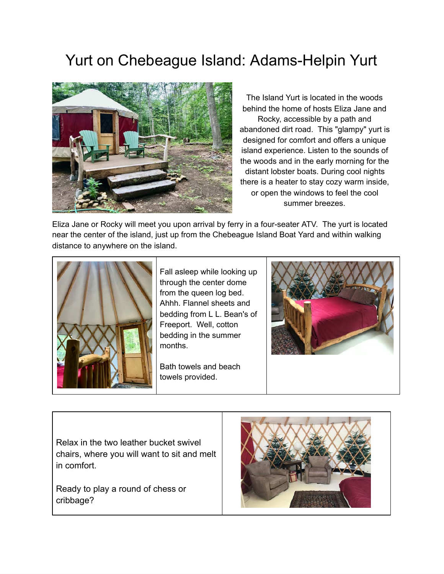## Yurt on Chebeague Island: Adams-Helpin Yurt



The Island Yurt is located in the woods behind the home of hosts Eliza Jane and Rocky, accessible by a path and abandoned dirt road. This "glampy" yurt is designed for comfort and offers a unique island experience. Listen to the sounds of the woods and in the early morning for the distant lobster boats. During cool nights there is a heater to stay cozy warm inside, or open the windows to feel the cool summer breezes.

Eliza Jane or Rocky will meet you upon arrival by ferry in a four-seater ATV. The yurt is located near the center of the island, just up from the Chebeague Island Boat Yard and within walking distance to anywhere on the island.



Fall asleep while looking up through the center dome from the queen log bed. Ahhh. Flannel sheets and bedding from L L. Bean's of Freeport. Well, cotton bedding in the summer months.

Bath towels and beach towels provided.



Relax in the two leather bucket swivel chairs, where you will want to sit and melt in comfort.

Ready to play a round of chess or cribbage?

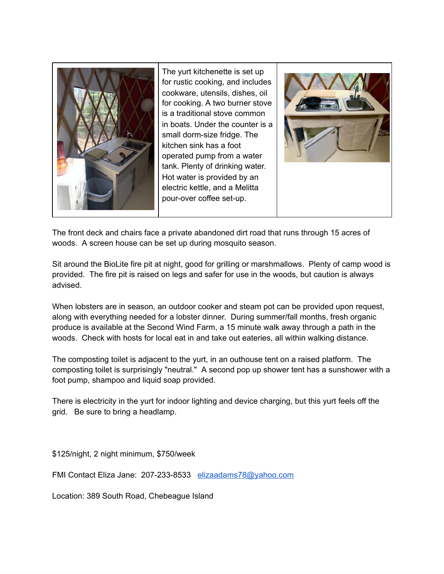

The yurt kitchenette is set up for rustic cooking, and includes cookware, utensils, dishes, oil for cooking. A two burner stove is a traditional stove common in boats. Under the counter is a small dorm-size fridge. The kitchen sink has a foot operated pump from a water tank. Plenty of drinking water. Hot water is provided by an electric kettle, and a Melitta pour-over coffee set-up.



The front deck and chairs face a private abandoned dirt road that runs through 15 acres of woods. A screen house can be set up during mosquito season.

Sit around the BioLite fire pit at night, good for grilling or marshmallows. Plenty of camp wood is provided. The fire pit is raised on legs and safer for use in the woods, but caution is always advised.

When lobsters are in season, an outdoor cooker and steam pot can be provided upon request, along with everything needed for a lobster dinner. During summer/fall months, fresh organic produce is available at the Second Wind Farm, a 15 minute walk away through a path in the woods. Check with hosts for local eat in and take out eateries, all within walking distance.

The composting toilet is adjacent to the yurt, in an outhouse tent on a raised platform. The composting toilet is surprisingly "neutral." A second pop up shower tent has a sunshower with a foot pump, shampoo and liquid soap provided.

There is electricity in the yurt for indoor lighting and device charging, but this yurt feels off the grid. Be sure to bring a headlamp.

\$125/night, 2 night minimum, \$750/week

FMI Contact Eliza Jane: 207-233-8533 [elizaadams78@yahoo.com](mailto:elizaadams78@yahoo.com)

Location: 389 South Road, Chebeague Island